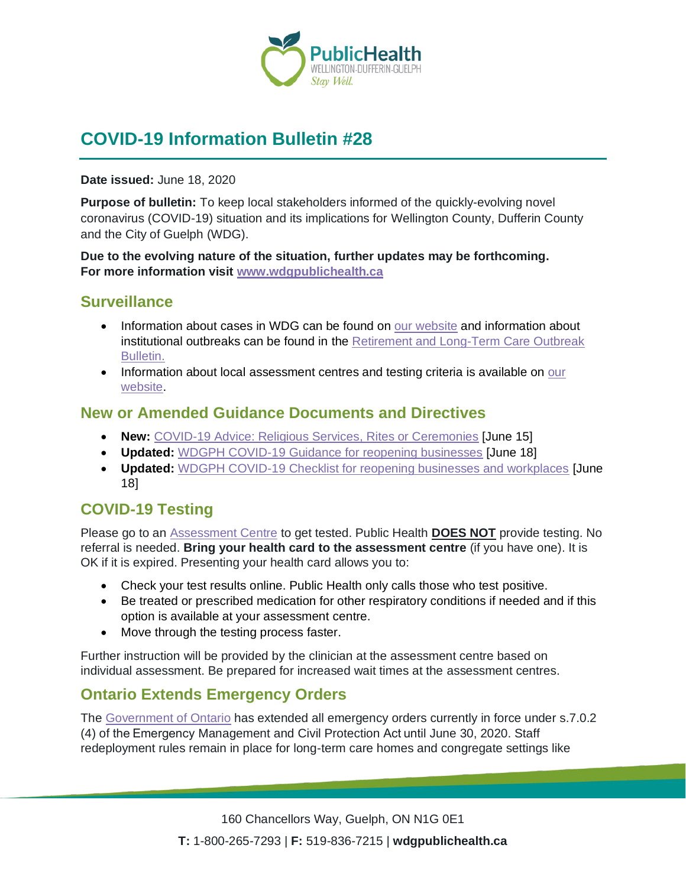

# **COVID-19 Information Bulletin #28**

#### **Date issued:** June 18, 2020

**Purpose of bulletin:** To keep local stakeholders informed of the quickly-evolving novel coronavirus (COVID-19) situation and its implications for Wellington County, Dufferin County and the City of Guelph (WDG).

**Due to the evolving nature of the situation, further updates may be forthcoming. For more information visit [www.wdgpublichealth.ca](http://www.wdgpublichealth.ca/)**

## **Surveillance**

- Information about cases in WDG can be found on [our website](https://wdgpublichealth.ca/your-health/covid-19-information-public/status-cases-wdg) and information about institutional outbreaks can be found in the [Retirement and Long-Term Care Outbreak](https://wdgpublichealth.ca/node/1542)  [Bulletin.](https://wdgpublichealth.ca/node/1542)
- Information about local assessment centres and testing criteria is available on our [website.](https://www.wdgpublichealth.ca/your-health/covid-19-information-public/assessment-centres-wdg)

## **New or Amended Guidance Documents and Directives**

- **New:** [COVID-19 Advice: Religious Services, Rites or Ceremonies](http://www.health.gov.on.ca/en/pro/programs/publichealth/coronavirus/docs/advice_religious_services.pdf) [June 15]
- **Updated:** [WDGPH COVID-19 Guidance for reopening businesses](https://www.wdgpublichealth.ca/sites/default/files/covid-19_guidance_for_reopening_businesses_june_18_2020.pdf) [June 18]
- **Updated:** [WDGPH COVID-19 Checklist for reopening businesses and workplaces](https://www.wdgpublichealth.ca/sites/default/files/covid-19_checklist_for_reopening_businesses_june_18_2020.pdf) [June 18]

## **COVID-19 Testing**

Please go to an [Assessment Centre](https://wdgpublichealth.ca/your-health/covid-19-information-public/assessment-centres-wdg) to get tested. Public Health **DOES NOT** provide testing. No referral is needed. **Bring your health card to the assessment centre** (if you have one). It is OK if it is expired. Presenting your health card allows you to:

- Check your test results online. Public Health only calls those who test positive.
- Be treated or prescribed medication for other respiratory conditions if needed and if this option is available at your assessment centre.
- Move through the testing process faster.

Further instruction will be provided by the clinician at the assessment centre based on individual assessment. Be prepared for increased wait times at the assessment centres.

## **Ontario Extends Emergency Orders**

The [Government of Ontario](https://news.ontario.ca/opo/en/2020/06/ontario-extends-emergency-orders.html?utm_source=ondemand&utm_medium=email&utm_campaign=p) has extended all emergency orders currently in force under s.7.0.2 (4) of the Emergency Management and Civil Protection Act until June 30, 2020. Staff redeployment rules remain in place for long-term care homes and congregate settings like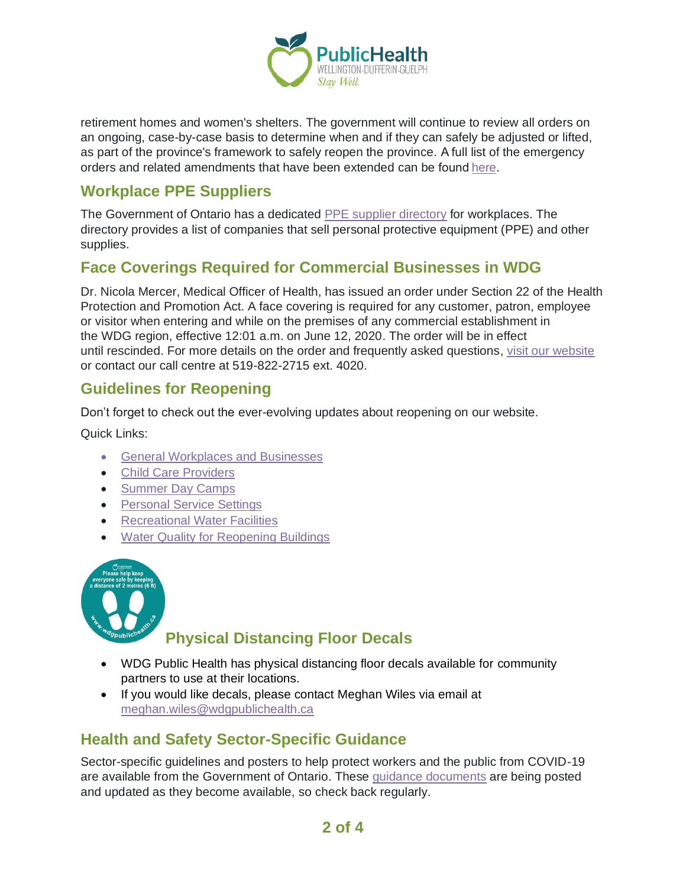

retirement homes and women's shelters. The government will continue to review all orders on an ongoing, case-by-case basis to determine when and if they can safely be adjusted or lifted, as part of the province's framework to safely reopen the province. A full list of the emergency orders and related amendments that have been extended can be foun[d here.](https://www.ontario.ca/page/emergency-information?_ga=2.113397895.1499373585.1589204859-1123331746.1579028832)

# **Workplace PPE Suppliers**

The Government of Ontario has a dedicated [PPE supplier d](https://covid-19.ontario.ca/workplace-ppe-supplier-directory)irectory for workplaces. The directory provides a list of companies that sell personal protective equipment (PPE) and other supplies.

## **Face Coverings Required for Commercial Businesses in WDG**

Dr. Nicola Mercer, Medical Officer of Health, has issued an order under Section 22 of the Health Protection and Promotion Act. A face covering is required for any customer, patron, employee or visitor when entering and while on the premises of any commercial establishment in the WDG region, effective 12:01 a.m. on June 12, 2020. The order will be in effect until rescinded. For more details on the order and frequently asked questions, [visit our website](https://www.wdgpublichealth.ca/your-health/covid-19-information-public/face-coverings-class-order-and-faqs) or contact our call centre at 519-822-2715 ext. 4020.

## **Guidelines for Reopening**

Don't forget to check out the ever-evolving updates about reopening on our website.

Quick Links:

- [General Workplaces and Businesses](https://www.wdgpublichealth.ca/your-health/covid-19-information-workplaces-and-living-spaces/workplaces-and-businesses)
- [Child Care Providers](https://www.wdgpublichealth.ca/your-health/covid-19-information-workplaces-and-living-spaces/child-care-providers)
- [Summer Day Camps](https://www.wdgpublichealth.ca/your-health/covid-19-information-workplaces-and-living-spaces/summer-day-camp-providers)
- [Personal Service Settings](https://www.wdgpublichealth.ca/your-health/covid-19-information-workplaces-and-living-spaces/personal-service-settings)
- [Recreational Water Facilities](https://www.wdgpublichealth.ca/your-health/covid-19-information-workplaces-and-living-spaces/recreational-water-facilities)
- [Water Quality for Reopening Buildings](https://wdgpublichealth.ca/your-health/covid-19-information-workplaces-and-living-spaces/water-quality-reopening-buildings)



# **Physical Distancing Floor Decals**

- WDG Public Health has physical distancing floor decals available for community partners to use at their locations.
- If you would like decals, please contact Meghan Wiles via email at [meghan.wiles@wdgpublichealth.ca](https://wdgpublichealth.sharepoint.com/sites/IMS-NovelCoronavirus/Shared%20Documents/General/Communications/COVID-19/Stakeholders/COVID-19%20Information%20Bulletin/Bulletin%2018/meghan.wiles@wdgpublichealth.ca)

## **Health and Safety Sector-Specific Guidance**

Sector-specific guidelines and posters to help protect workers and the public from COVID-19 are available from the Government of Ontario. These [guidance documents](https://www.ontario.ca/page/resources-prevent-covid-19-workplace) are being posted and updated as they become available, so check back regularly.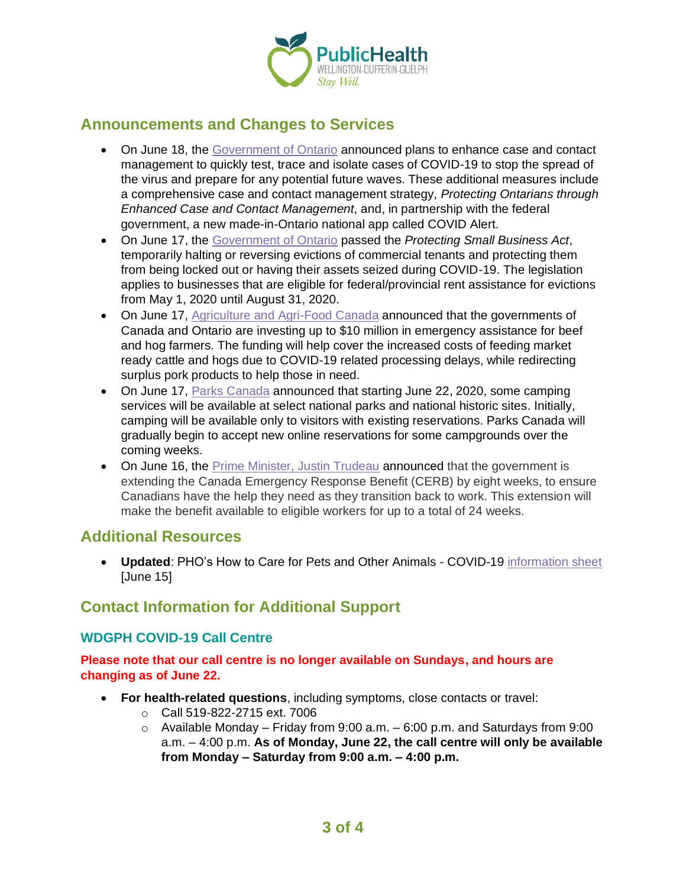

## **Announcements and Changes to Services**

- On June 18, the [Government of Ontario](https://news.ontario.ca/opo/en/2020/06/ontario-enhancing-covid-19-case-and-contact-management.html) announced plans to enhance case and contact management to quickly test, trace and isolate cases of COVID-19 to stop the spread of the virus and prepare for any potential future waves. These additional measures include a comprehensive case and contact management strategy, *Protecting Ontarians through Enhanced Case and Contact Management*, and, in partnership with the federal government, a new made-in-Ontario national app called COVID Alert.
- On June 17, the [Government of Ontario](https://news.ontario.ca/mma/en/2020/06/ontario-pauses-commercial-evictions.html) passed the *Protecting Small Business Act*, temporarily halting or reversing evictions of commercial tenants and protecting them from being locked out or having their assets seized during COVID-19. The legislation applies to businesses that are eligible for federal/provincial rent assistance for evictions from May 1, 2020 until August 31, 2020.
- On June 17, [Agriculture and Agri-Food Canada](https://www.canada.ca/en/agriculture-agri-food/news/2020/06/canada-and-ontario-support-beef-and-hog-farmers-during-covid-19.html) announced that the governments of Canada and Ontario are investing up to \$10 million in emergency assistance for beef and hog farmers. The funding will help cover the increased costs of feeding market ready cattle and hogs due to COVID-19 related processing delays, while redirecting surplus pork products to help those in need.
- On June 17, [Parks Canada](https://www.canada.ca/en/parks-canada/news/2020/06/camping-will-resume-gradually-at-a-number-of-national-parks-and-national-historic-sites-across-canada-starting-on-june-22-2020.html) announced that starting June 22, 2020, some camping services will be available at select national parks and national historic sites. Initially, camping will be available only to visitors with existing reservations. Parks Canada will gradually begin to accept new online reservations for some campgrounds over the coming weeks.
- On June 16, the [Prime Minister, Justin Trudeau](https://pm.gc.ca/en/news/news-releases/2020/06/16/prime-minister-announces-extension-canada-emergency-response-benefit) announced that the government is extending the Canada Emergency Response Benefit (CERB) by eight weeks, to ensure Canadians have the help they need as they transition back to work. This extension will make the benefit available to eligible workers for up to a total of 24 weeks.

## **Additional Resources**

• **Updated**: PHO's How to Care for Pets and Other Animals - COVID-19 [information sheet](https://www.publichealthontario.ca/-/media/documents/ncov/factsheet/factsheet-covid-19-domestic-animals.pdf?la=en) [June 15]

## **Contact Information for Additional Support**

## **WDGPH COVID-19 Call Centre**

### **Please note that our call centre is no longer available on Sundays, and hours are changing as of June 22.**

- **For health-related questions**, including symptoms, close contacts or travel:
	- o Call 519-822-2715 ext. 7006
	- $\circ$  Available Monday Friday from 9:00 a.m. 6:00 p.m. and Saturdays from 9:00 a.m. – 4:00 p.m. **As of Monday, June 22, the call centre will only be available from Monday – Saturday from 9:00 a.m. – 4:00 p.m.**